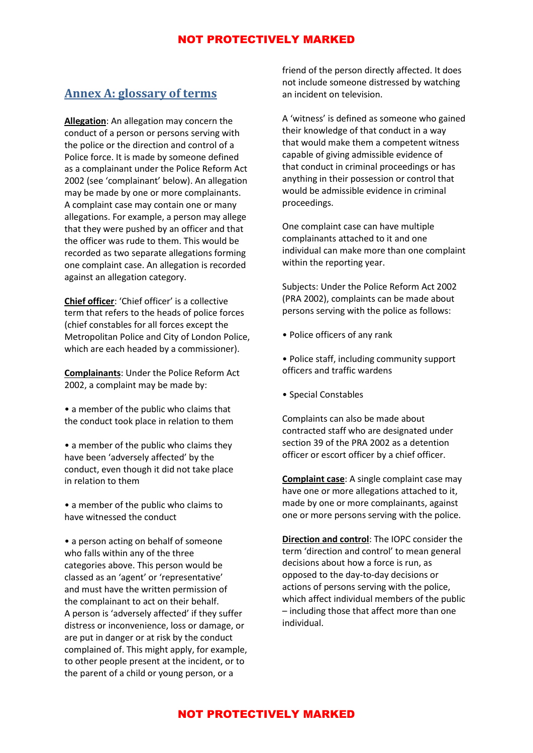## **Annex A: glossary of terms**

**Allegation**: An allegation may concern the conduct of a person or persons serving with the police or the direction and control of a Police force. It is made by someone defined as a complainant under the Police Reform Act 2002 (see 'complainant' below). An allegation may be made by one or more complainants. A complaint case may contain one or many allegations. For example, a person may allege that they were pushed by an officer and that the officer was rude to them. This would be recorded as two separate allegations forming one complaint case. An allegation is recorded against an allegation category.

**Chief officer**: 'Chief officer' is a collective term that refers to the heads of police forces (chief constables for all forces except the Metropolitan Police and City of London Police, which are each headed by a commissioner).

**Complainants**: Under the Police Reform Act 2002, a complaint may be made by:

• a member of the public who claims that the conduct took place in relation to them

• a member of the public who claims they have been 'adversely affected' by the conduct, even though it did not take place in relation to them

• a member of the public who claims to have witnessed the conduct

• a person acting on behalf of someone who falls within any of the three categories above. This person would be classed as an 'agent' or 'representative' and must have the written permission of the complainant to act on their behalf. A person is 'adversely affected' if they suffer distress or inconvenience, loss or damage, or are put in danger or at risk by the conduct complained of. This might apply, for example, to other people present at the incident, or to the parent of a child or young person, or a

friend of the person directly affected. It does not include someone distressed by watching an incident on television.

A 'witness' is defined as someone who gained their knowledge of that conduct in a way that would make them a competent witness capable of giving admissible evidence of that conduct in criminal proceedings or has anything in their possession or control that would be admissible evidence in criminal proceedings.

One complaint case can have multiple complainants attached to it and one individual can make more than one complaint within the reporting year.

Subjects: Under the Police Reform Act 2002 (PRA 2002), complaints can be made about persons serving with the police as follows:

- Police officers of any rank
- Police staff, including community support officers and traffic wardens
- Special Constables

Complaints can also be made about contracted staff who are designated under section 39 of the PRA 2002 as a detention officer or escort officer by a chief officer.

**Complaint case**: A single complaint case may have one or more allegations attached to it, made by one or more complainants, against one or more persons serving with the police.

**Direction and control**: The IOPC consider the term 'direction and control' to mean general decisions about how a force is run, as opposed to the day-to-day decisions or actions of persons serving with the police, which affect individual members of the public – including those that affect more than one individual.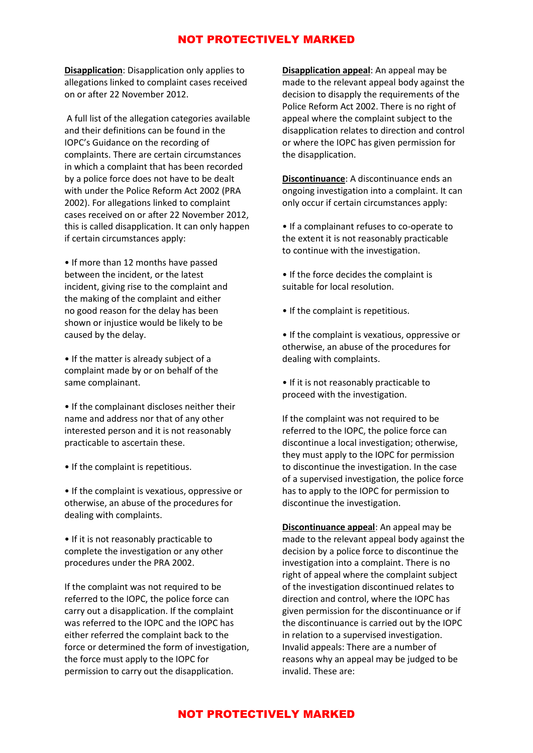**Disapplication**: Disapplication only applies to allegations linked to complaint cases received on or after 22 November 2012.

A full list of the allegation categories available and their definitions can be found in the IOPC's Guidance on the recording of complaints. There are certain circumstances in which a complaint that has been recorded by a police force does not have to be dealt with under the Police Reform Act 2002 (PRA 2002). For allegations linked to complaint cases received on or after 22 November 2012, this is called disapplication. It can only happen if certain circumstances apply:

• If more than 12 months have passed between the incident, or the latest incident, giving rise to the complaint and the making of the complaint and either no good reason for the delay has been shown or injustice would be likely to be caused by the delay.

• If the matter is already subject of a complaint made by or on behalf of the same complainant.

• If the complainant discloses neither their name and address nor that of any other interested person and it is not reasonably practicable to ascertain these.

• If the complaint is repetitious.

• If the complaint is vexatious, oppressive or otherwise, an abuse of the procedures for dealing with complaints.

• If it is not reasonably practicable to complete the investigation or any other procedures under the PRA 2002.

If the complaint was not required to be referred to the IOPC, the police force can carry out a disapplication. If the complaint was referred to the IOPC and the IOPC has either referred the complaint back to the force or determined the form of investigation, the force must apply to the IOPC for permission to carry out the disapplication.

**Disapplication appeal**: An appeal may be made to the relevant appeal body against the decision to disapply the requirements of the Police Reform Act 2002. There is no right of appeal where the complaint subject to the disapplication relates to direction and control or where the IOPC has given permission for the disapplication.

**Discontinuance**: A discontinuance ends an ongoing investigation into a complaint. It can only occur if certain circumstances apply:

- If a complainant refuses to co-operate to the extent it is not reasonably practicable to continue with the investigation.
- If the force decides the complaint is suitable for local resolution.
- If the complaint is repetitious.

• If the complaint is vexatious, oppressive or otherwise, an abuse of the procedures for dealing with complaints.

• If it is not reasonably practicable to proceed with the investigation.

If the complaint was not required to be referred to the IOPC, the police force can discontinue a local investigation; otherwise, they must apply to the IOPC for permission to discontinue the investigation. In the case of a supervised investigation, the police force has to apply to the IOPC for permission to discontinue the investigation.

**Discontinuance appeal**: An appeal may be made to the relevant appeal body against the decision by a police force to discontinue the investigation into a complaint. There is no right of appeal where the complaint subject of the investigation discontinued relates to direction and control, where the IOPC has given permission for the discontinuance or if the discontinuance is carried out by the IOPC in relation to a supervised investigation. Invalid appeals: There are a number of reasons why an appeal may be judged to be invalid. These are:

### NOT PROTECTIVELY MARKED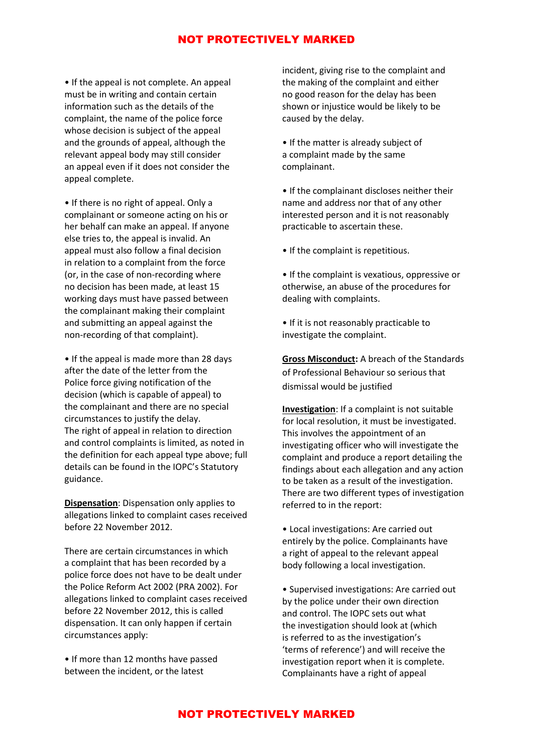• If the appeal is not complete. An appeal must be in writing and contain certain information such as the details of the complaint, the name of the police force whose decision is subject of the appeal and the grounds of appeal, although the relevant appeal body may still consider an appeal even if it does not consider the appeal complete.

• If there is no right of appeal. Only a complainant or someone acting on his or her behalf can make an appeal. If anyone else tries to, the appeal is invalid. An appeal must also follow a final decision in relation to a complaint from the force (or, in the case of non-recording where no decision has been made, at least 15 working days must have passed between the complainant making their complaint and submitting an appeal against the non-recording of that complaint).

• If the appeal is made more than 28 days after the date of the letter from the Police force giving notification of the decision (which is capable of appeal) to the complainant and there are no special circumstances to justify the delay. The right of appeal in relation to direction and control complaints is limited, as noted in the definition for each appeal type above; full details can be found in the IOPC's Statutory guidance.

**Dispensation**: Dispensation only applies to allegations linked to complaint cases received before 22 November 2012.

There are certain circumstances in which a complaint that has been recorded by a police force does not have to be dealt under the Police Reform Act 2002 (PRA 2002). For allegations linked to complaint cases received before 22 November 2012, this is called dispensation. It can only happen if certain circumstances apply:

• If more than 12 months have passed between the incident, or the latest

incident, giving rise to the complaint and the making of the complaint and either no good reason for the delay has been shown or injustice would be likely to be caused by the delay.

• If the matter is already subject of a complaint made by the same complainant.

• If the complainant discloses neither their name and address nor that of any other interested person and it is not reasonably practicable to ascertain these.

• If the complaint is repetitious.

• If the complaint is vexatious, oppressive or otherwise, an abuse of the procedures for dealing with complaints.

• If it is not reasonably practicable to investigate the complaint.

**Gross Misconduct:** A breach of the Standards of Professional Behaviour so serious that dismissal would be justified

**Investigation**: If a complaint is not suitable for local resolution, it must be investigated. This involves the appointment of an investigating officer who will investigate the complaint and produce a report detailing the findings about each allegation and any action to be taken as a result of the investigation. There are two different types of investigation referred to in the report:

• Local investigations: Are carried out entirely by the police. Complainants have a right of appeal to the relevant appeal body following a local investigation.

• Supervised investigations: Are carried out by the police under their own direction and control. The IOPC sets out what the investigation should look at (which is referred to as the investigation's 'terms of reference') and will receive the investigation report when it is complete. Complainants have a right of appeal

## NOT PROTECTIVELY MARKED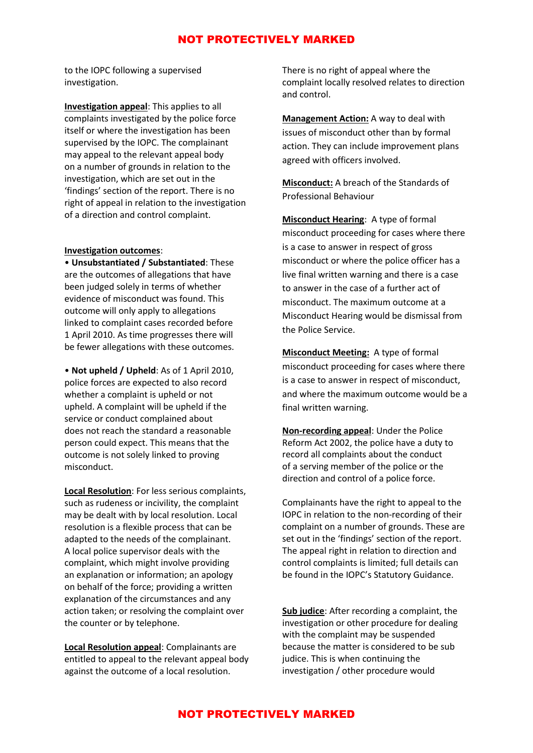to the IOPC following a supervised investigation.

**Investigation appeal**: This applies to all complaints investigated by the police force itself or where the investigation has been supervised by the IOPC. The complainant may appeal to the relevant appeal body on a number of grounds in relation to the investigation, which are set out in the 'findings' section of the report. There is no right of appeal in relation to the investigation of a direction and control complaint.

#### **Investigation outcomes**:

• **Unsubstantiated / Substantiated**: These are the outcomes of allegations that have been judged solely in terms of whether evidence of misconduct was found. This outcome will only apply to allegations linked to complaint cases recorded before 1 April 2010. As time progresses there will be fewer allegations with these outcomes.

• **Not upheld / Upheld**: As of 1 April 2010, police forces are expected to also record whether a complaint is upheld or not upheld. A complaint will be upheld if the service or conduct complained about does not reach the standard a reasonable person could expect. This means that the outcome is not solely linked to proving misconduct.

**Local Resolution**: For less serious complaints, such as rudeness or incivility, the complaint may be dealt with by local resolution. Local resolution is a flexible process that can be adapted to the needs of the complainant. A local police supervisor deals with the complaint, which might involve providing an explanation or information; an apology on behalf of the force; providing a written explanation of the circumstances and any action taken; or resolving the complaint over the counter or by telephone.

**Local Resolution appeal**: Complainants are entitled to appeal to the relevant appeal body against the outcome of a local resolution.

There is no right of appeal where the complaint locally resolved relates to direction and control.

**Management Action:** A way to deal with issues of misconduct other than by formal action. They can include improvement plans agreed with officers involved.

**Misconduct:** A breach of the Standards of Professional Behaviour

**Misconduct Hearing**: A type of formal misconduct proceeding for cases where there is a case to answer in respect of gross misconduct or where the police officer has a live final written warning and there is a case to answer in the case of a further act of misconduct. The maximum outcome at a Misconduct Hearing would be dismissal from the Police Service.

**Misconduct Meeting:** A type of formal misconduct proceeding for cases where there is a case to answer in respect of misconduct, and where the maximum outcome would be a final written warning.

**Non-recording appeal**: Under the Police Reform Act 2002, the police have a duty to record all complaints about the conduct of a serving member of the police or the direction and control of a police force.

Complainants have the right to appeal to the IOPC in relation to the non-recording of their complaint on a number of grounds. These are set out in the 'findings' section of the report. The appeal right in relation to direction and control complaints is limited; full details can be found in the IOPC's Statutory Guidance.

**Sub judice**: After recording a complaint, the investigation or other procedure for dealing with the complaint may be suspended because the matter is considered to be sub judice. This is when continuing the investigation / other procedure would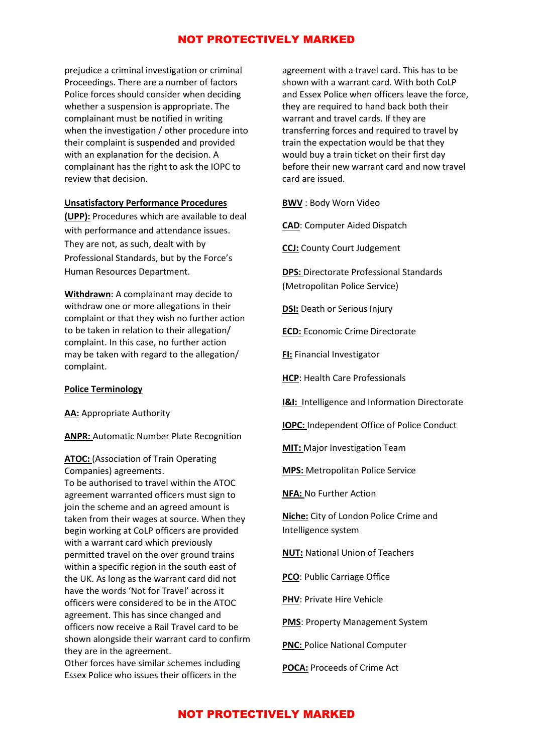prejudice a criminal investigation or criminal Proceedings. There are a number of factors Police forces should consider when deciding whether a suspension is appropriate. The complainant must be notified in writing when the investigation / other procedure into their complaint is suspended and provided with an explanation for the decision. A complainant has the right to ask the IOPC to review that decision.

### **Unsatisfactory Performance Procedures**

**(UPP):** Procedures which are available to deal with performance and attendance issues. They are not, as such, dealt with by Professional Standards, but by the Force's Human Resources Department.

**Withdrawn**: A complainant may decide to withdraw one or more allegations in their complaint or that they wish no further action to be taken in relation to their allegation/ complaint. In this case, no further action may be taken with regard to the allegation/ complaint.

#### **Police Terminology**

**AA:** Appropriate Authority

**ANPR:** Automatic Number Plate Recognition

**ATOC:** (Association of Train Operating Companies) agreements.

To be authorised to travel within the ATOC agreement warranted officers must sign to join the scheme and an agreed amount is taken from their wages at source. When they begin working at CoLP officers are provided with a warrant card which previously permitted travel on the over ground trains within a specific region in the south east of the UK. As long as the warrant card did not have the words 'Not for Travel' across it officers were considered to be in the ATOC agreement. This has since changed and officers now receive a Rail Travel card to be shown alongside their warrant card to confirm they are in the agreement.

Other forces have similar schemes including Essex Police who issues their officers in the

agreement with a travel card. This has to be shown with a warrant card. With both CoLP and Essex Police when officers leave the force, they are required to hand back both their warrant and travel cards. If they are transferring forces and required to travel by train the expectation would be that they would buy a train ticket on their first day before their new warrant card and now travel card are issued.

**BWV** : Body Worn Video

**CAD**: Computer Aided Dispatch

**CCJ:** County Court Judgement

**DPS:** Directorate Professional Standards (Metropolitan Police Service)

**DSI:** Death or Serious Injury

**ECD:** Economic Crime Directorate

**FI:** Financial Investigator

**HCP**: Health Care Professionals

**I&I:** Intelligence and Information Directorate

**IOPC:** Independent Office of Police Conduct

**MIT:** Major Investigation Team

**MPS:** Metropolitan Police Service

**NFA:** No Further Action

**Niche:** City of London Police Crime and Intelligence system

**NUT:** National Union of Teachers

**PCO**: Public Carriage Office

**PHV**: Private Hire Vehicle

**PMS**: Property Management System

**PNC: Police National Computer** 

**POCA:** Proceeds of Crime Act

# NOT PROTECTIVELY MARKED